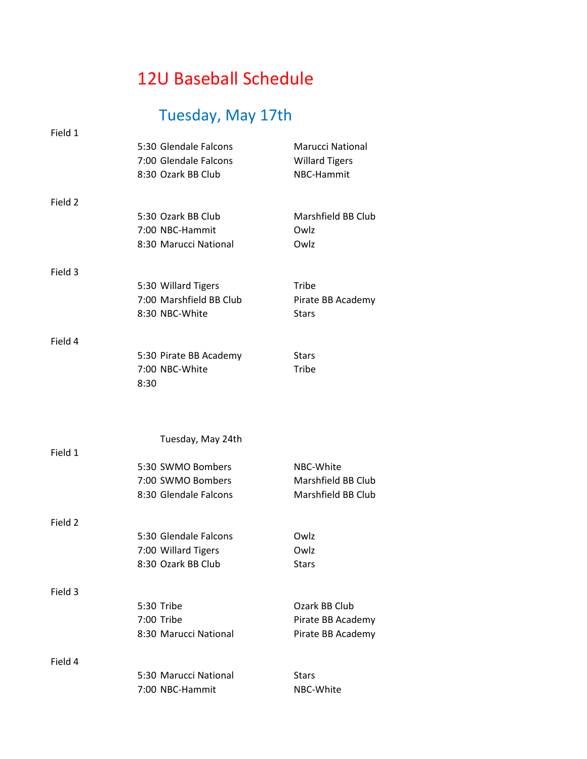## 12U Baseball Schedule

## Tuesday, May 17th

| Field 1 | 5:30 Glendale Falcons<br>7:00 Glendale Falcons<br>8:30 Ozark BB Club | <b>Marucci National</b><br><b>Willard Tigers</b><br>NBC-Hammit |
|---------|----------------------------------------------------------------------|----------------------------------------------------------------|
| Field 2 |                                                                      |                                                                |
|         | 5:30 Ozark BB Club                                                   | Marshfield BB Club                                             |
|         | 7:00 NBC-Hammit                                                      | Owlz                                                           |
|         | 8:30 Marucci National                                                | Owlz                                                           |
| Field 3 |                                                                      |                                                                |
|         | 5:30 Willard Tigers                                                  | Tribe                                                          |
|         | 7:00 Marshfield BB Club                                              | Pirate BB Academy                                              |
|         | 8:30 NBC-White                                                       | <b>Stars</b>                                                   |
| Field 4 |                                                                      |                                                                |
|         | 5:30 Pirate BB Academy                                               | <b>Stars</b>                                                   |
|         | 7:00 NBC-White                                                       | Tribe                                                          |
|         | 8:30                                                                 |                                                                |
|         |                                                                      |                                                                |
|         |                                                                      |                                                                |
|         | Tuesday, May 24th                                                    |                                                                |
| Field 1 |                                                                      | NBC-White                                                      |
|         | 5:30 SWMO Bombers<br>7:00 SWMO Bombers                               | Marshfield BB Club                                             |
|         |                                                                      |                                                                |
|         |                                                                      |                                                                |
|         | 8:30 Glendale Falcons                                                | Marshfield BB Club                                             |
| Field 2 |                                                                      |                                                                |
|         | 5:30 Glendale Falcons                                                | Owlz                                                           |
|         | 7:00 Willard Tigers                                                  | Owlz                                                           |
|         | 8:30 Ozark BB Club                                                   | <b>Stars</b>                                                   |
| Field 3 |                                                                      |                                                                |
|         | 5:30 Tribe                                                           | Ozark BB Club                                                  |
|         | 7:00 Tribe                                                           | Pirate BB Academy                                              |
|         | 8:30 Marucci National                                                | Pirate BB Academy                                              |
|         |                                                                      |                                                                |
| Field 4 |                                                                      |                                                                |
|         | 5:30 Marucci National<br>7:00 NBC-Hammit                             | <b>Stars</b><br>NBC-White                                      |